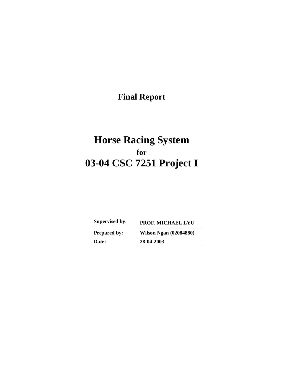**Final Report** 

# **Horse Racing System for 03-04 CSC 7251 Project I**

**Prepared by: Wilson Ngan (02084880)** 

**Supervised by: PROF. MICHAEL LYU** 

**Date: 28-04-2003**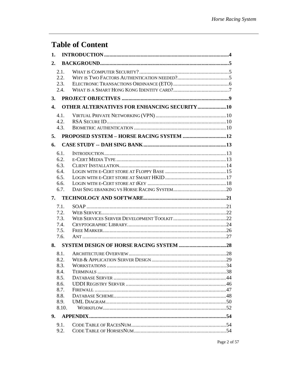## **Table of Content**

| 1.               |                                                    |  |
|------------------|----------------------------------------------------|--|
| 2.               |                                                    |  |
|                  | 2.1.                                               |  |
|                  | 2.2.                                               |  |
|                  | 2.3.                                               |  |
|                  | 2.4.                                               |  |
| 3.               |                                                    |  |
| $\overline{4}$ . | <b>OTHER ALTERNATIVES FOR ENHANCING SECURITY10</b> |  |
|                  | 4.1.                                               |  |
|                  | 4.2.                                               |  |
|                  | 4.3.                                               |  |
| 5.               |                                                    |  |
| 6.               |                                                    |  |
|                  | 6.1.                                               |  |
|                  | 6.2.                                               |  |
|                  | 6.3.                                               |  |
|                  | 6.4.                                               |  |
|                  | 6.5.                                               |  |
|                  | 6.6.                                               |  |
|                  | 6.7.                                               |  |
| 7.               |                                                    |  |
|                  | 7.1.                                               |  |
|                  |                                                    |  |
|                  | 7.2.                                               |  |
|                  | 7.3.                                               |  |
|                  | 7.4.                                               |  |
|                  | 7.5.                                               |  |
|                  | 7.6.                                               |  |
|                  |                                                    |  |
|                  | 8.1.                                               |  |
|                  |                                                    |  |
|                  | 8.3.                                               |  |
|                  | 8.4.                                               |  |
|                  | 8.5.                                               |  |
|                  | 8.6.                                               |  |
|                  | 8.7.                                               |  |
|                  | 8.8.                                               |  |
|                  | 8.9.                                               |  |
|                  | 8.10.                                              |  |
| 9.               |                                                    |  |
|                  | 9.1.<br>9.2.                                       |  |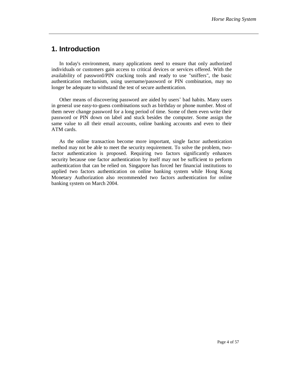### **1. Introduction**

In today's environment, many applications need to ensure that only authorized individuals or customers gain access to critical devices or services offered. With the availability of password/PIN cracking tools and ready to use "sniffers", the basic authentication mechanism, using username/password or PIN combination, may no longer be adequate to withstand the test of secure authentication.

Other means of discovering password are aided by users' bad habits. Many users in general use easy-to-guess combinations such as birthday or phone number. Most of them never change password for a long period of time. Some of them even write their password or PIN down on label and stuck besides the computer. Some assign the same value to all their email accounts, online banking accounts and even to their ATM cards.

As the online transaction become more important, single factor authentication method may not be able to meet the security requirement. To solve the problem, twofactor authentication is proposed. Requiring two factors significantly enhances security because one factor authentication by itself may not be sufficient to perform authentication that can be relied on. Singapore has forced her financial institutions to applied two factors authentication on online banking system while Hong Kong Monetary Authorization also recommended two factors authentication for online banking system on March 2004.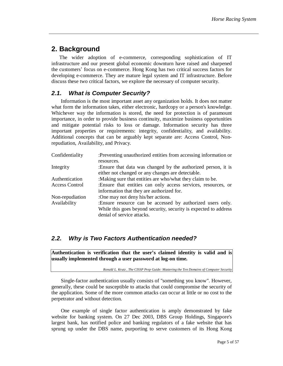### **2. Background**

The wider adoption of e-commerce, corresponding sophistication of IT infrastructure and our present global economic downturn have raised and sharpened the customers' focus on e-commerce. Hong Kong has two critical success factors for developing e-commerce. They are mature legal system and IT infrastructure. Before discuss these two critical factors, we explore the necessary of computer security.

### *2.1. What is Computer Security?*

Information is the most important asset any organization holds. It does not matter what form the information takes, either electronic, hardcopy or a person's knowledge. Whichever way the information is stored, the need for protection is of paramount importance, in order to provide business continuity, maximize business opportunities and mitigate potential risks to loss or damage. Information security has three important properties or requirements: integrity, confidentiality, and availability. Additional concepts that can be arguably kept separate are: Access Control, Nonrepudiation, Availability, and Privacy.

| Confidentiality | :Preventing unauthorized entities from accessing information or<br>resources.                                                                                |
|-----------------|--------------------------------------------------------------------------------------------------------------------------------------------------------------|
| Integrity       | Ensure that data was changed by the authorized person, it is<br>either not changed or any changes are detectable.                                            |
| Authentication  | :Making sure that entities are who/what they claim to be.                                                                                                    |
| Access Control  | :Ensure that entities can only access services, resources, or<br>information that they are authorized for.                                                   |
| Non-repudiation | :One may not deny his/her actions.                                                                                                                           |
| Availability    | :Ensure resource can be accessed by authorized users only.<br>While this goes beyond security, security is expected to address<br>denial of service attacks. |

### *2.2. Why is Two Factors Authentication needed?*

**Authentication is verification that the user's claimed identity is valid and is usually implemented through a user password at log-on time.** 

*Ronald L. Krutz , The CISSP Prep Guide: Mastering the Ten Domains of Computer Security*

Single-factor authentication usually consists of "something you know". However, generally, these could be susceptible to attacks that could compromise the security of the application. Some of the more common attacks can occur at little or no cost to the perpetrator and without detection.

One example of single factor authentication is amply demonstrated by fake website for banking system. On 27 Dec 2003, DBS Group Holdings, Singapore's largest bank, has notified police and banking regulators of a fake website that has sprung up under the DBS name, purporting to serve customers of its Hong Kong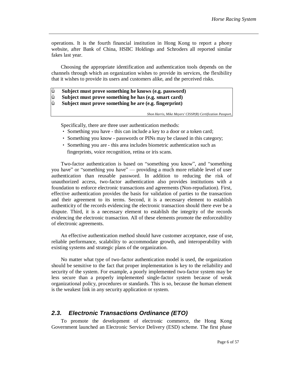operations. It is the fourth financial institution in Hong Kong to report a phony website, after Bank of China, HSBC Holdings and Schroders all reported similar fakes last year.

Choosing the appropriate identification and authentication tools depends on the channels through which an organization wishes to provide its services, the flexibility that it wishes to provide its users and customers alike, and the perceived risks.

Ÿ **Subject must prove something he knows (e.g. password)**  Ÿ **Subject must prove something he has (e.g. smart card)** 

Ÿ **Subject must prove something he are (e.g. fingerprint)**

*Shon Harris, Mike Meyers' CISSP(R) Certification Passport,*

Specifically, there are three user authentication methods:

- Something you have this can include a key to a door or a token card;
- Something you know passwords or PINs may be classed in this category;
- Something you are this area includes biometric authentication such as fingerprints, voice recognition, retina or iris scans.

Two-factor authentication is based on "something you know", and "something you have" or "something you have" — providing a much more reliable level of user authentication than reusable password. In addition to reducing the risk of unauthorized access, two-factor authentication also provides institutions with a foundation to enforce electronic transactions and agreements (Non-repudiation). First, effective authentication provides the basis for validation of parties to the transaction and their agreement to its terms. Second, it is a necessary element to establish authenticity of the records evidencing the electronic transaction should there ever be a dispute. Third, it is a necessary element to establish the integrity of the records evidencing the electronic transaction. All of these elements promote the enforceability of electronic agreements.

An effective authentication method should have customer acceptance, ease of use, reliable performance, scalability to accommodate growth, and interoperability with existing systems and strategic plans of the organization.

No matter what type of two-factor authentication model is used, the organization should be sensitive to the fact that proper implementation is key to the reliability and security of the system. For example, a poorly implemented two-factor system may be less secure than a properly implemented single-factor system because of weak organizational policy, procedures or standards. This is so, because the human element is the weakest link in any security application or system.

#### *2.3. Electronic Transactions Ordinance (ETO)*

To promote the development of electronic commerce, the Hong Kong Government launched an Electronic Service Delivery (ESD) scheme. The first phase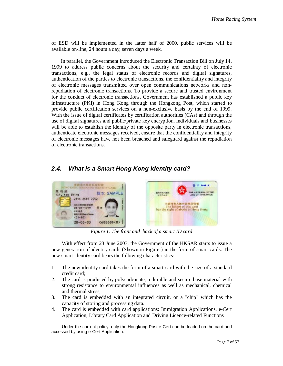of ESD will be implemented in the latter half of 2000, public services will be available on-line, 24 hours a day, seven days a week.

In parallel, the Government introduced the Electronic Transaction Bill on July 14, 1999 to address public concerns about the security and certainty of electronic transactions, e.g., the legal status of electronic records and digital signatures, authentication of the parties to electronic transactions, the confidentiality and integrity of electronic messages transmitted over open communications networks and nonrepudiation of electronic transactions. To provide a secure and trusted environment for the conduct of electronic transactions, Government has established a public key infrastructure (PKI) in Hong Kong through the Hongkong Post, which started to provide public certification services on a non-exclusive basis by the end of 1999. With the issue of digital certificates by certification authorities (CAs) and through the use of digital signatures and public/private key encryption, individuals and businesses will be able to establish the identity of the opposite party in electronic transactions, authenticate electronic messages received, ensure that the confidentiality and integrity of electronic messages have not been breached and safeguard against the repudiation of electronic transactions.

### *2.4. What is a Smart Hong Kong Identity card?*



*Figure 1. The front and back of a smart ID card* 

With effect from 23 June 2003, the Government of the HKSAR starts to issue a new generation of identity cards (Shown in Figure ) in the form of smart cards. The new smart identity card bears the following characteristics:

- 1. The new identity card takes the form of a smart card with the size of a standard credit card;
- 2. The card is produced by polycarbonate, a durable and secure base material with strong resistance to environmental influences as well as mechanical, chemical and thermal stress;
- 3. The card is embedded with an integrated circuit, or a "chip" which has the capacity of storing and processing data.
- 4. The card is embedded with card applications: Immigration Applications, e-Cert Application, Library Card Application and Driving Licence-related Functions

Under the current policy, only the Hongkong Post e-Cert can be loaded on the card and accessed by using e-Cert Application.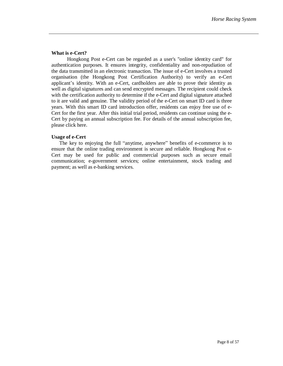#### **What is e-Cert?**

Hongkong Post e-Cert can be regarded as a user's "online identity card" for authentication purposes. It ensures integrity, confidentiality and non-repudiation of the data transmitted in an electronic transaction. The issue of e-Cert involves a trusted organisation (the Hongkong Post Certification Authority) to verify an e-Cert applicant's identity. With an e-Cert, cardholders are able to prove their identity as well as digital signatures and can send encrypted messages. The recipient could check with the certification authority to determine if the e-Cert and digital signature attached to it are valid and genuine. The validity period of the e-Cert on smart ID card is three years. With this smart ID card introduction offer, residents can enjoy free use of e-Cert for the first year. After this initial trial period, residents can continue using the e-Cert by paying an annual subscription fee. For details of the annual subscription fee, please click here.

#### **Usage of e-Cert**

The key to enjoying the full "anytime, anywhere" benefits of e-commerce is to ensure that the online trading environment is secure and reliable. Hongkong Post e-Cert may be used for public and commercial purposes such as secure email communication; e-government services; online entertainment, stock trading and payment; as well as e-banking services.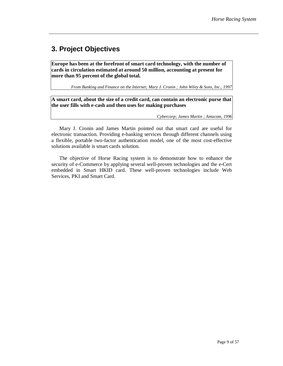## **3. Project Objectives**

**Europe has been at the forefront of smart card technology, with the number of cards in circulation estimated at around 50 million, accounting at present for more than 95 percent of the global total.** 

*From Banking and Finance on the Internet; Mary J. Cronin ; John Wiley & Sons, Inc., 1997*

**A smart card, about the size of a credit card, can contain an electronic purse that the user fills with e-cash and then uses for making purchases** 

*Cybercorp; James Martin ; Amacom, 1996* 

Mary J. Cronin and James Martin pointed out that smart card are useful for electronic transaction. Providing e-banking services through different channels using a flexible, portable two-factor authentication model, one of the most cost-effective solutions available is smart cards solution.

The objective of Horse Racing system is to demonstrate how to enhance the security of e-Commerce by applying several well-proven technologies and the e-Cert embedded in Smart HKID card. These well-proven technologies include Web Services, PKI and Smart Card.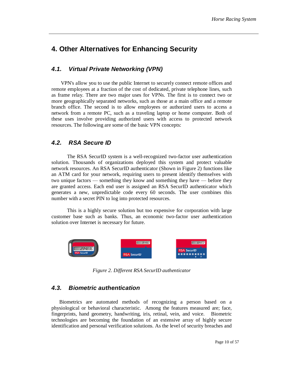### **4. Other Alternatives for Enhancing Security**

### *4.1. Virtual Private Networking (VPN)*

VPN's allow you to use the public Internet to securely connect remote offices and remote employees at a fraction of the cost of dedicated, private telephone lines, such as frame relay. There are two major uses for VPNs. The first is to connect two or more geographically separated networks, such as those at a main office and a remote branch office. The second is to allow employees or authorized users to access a network from a remote PC, such as a traveling laptop or home computer. Both of these uses involve providing authorized users with access to protected network resources. The following are some of the basic VPN concepts:

### *4.2. RSA Secure ID*

The RSA SecurID system is a well-recognized two-factor user authentication solution. Thousands of organizations deployed this system and protect valuable network resources. An RSA SecurID authenticator (Shown in Figure 2) functions like an ATM card for your network, requiring users to present identify themselves with two unique factors — something they know and something they have — before they are granted access. Each end user is assigned an RSA SecurID authenticator which generates a new, unpredictable code every 60 seconds. The user combines this number with a secret PIN to log into protected resources.

This is a highly secure solution but too expensive for corporation with large customer base such as banks. Thus, an economic two-factor user authentication solution over Internet is necessary for future.



*Figure 2. Different RSA SecurID authenticator*

### *4.3. Biometric authentication*

Biometrics are automated methods of recognizing a person based on a physiological or behavioral characteristic. Among the features measured are; face, fingerprints, hand geometry, handwriting, iris, retinal, vein, and voice. Biometric technologies are becoming the foundation of an extensive array of highly secure identification and personal verification solutions. As the level of security breaches and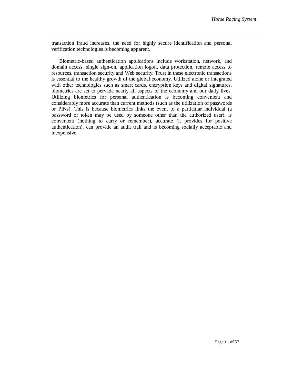transaction fraud increases, the need for highly secure identification and personal verification technologies is becoming apparent.

Biometric-based authentication applications include workstation, network, and domain access, single sign-on, application logon, data protection, remote access to resources, transaction security and Web security. Trust in these electronic transactions is essential to the healthy growth of the global economy. Utilized alone or integrated with other technologies such as smart cards, encryption keys and digital signatures, biometrics are set to pervade nearly all aspects of the economy and our daily lives. Utilizing biometrics for personal authentication is becoming convenient and considerably more accurate than current methods (such as the utilization of passwords or PINs). This is because biometrics links the event to a particular individual (a password or token may be used by someone other than the authorized user), is convenient (nothing to carry or remember), accurate (it provides for positive authentication), can provide an audit trail and is becoming socially acceptable and inexpensive.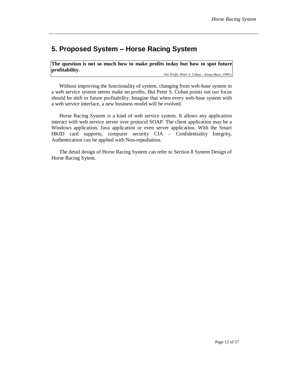### **5. Proposed System – Horse Racing System**

**The question is not so much how to make profits today but how to spot future profitability.**

*Net Profit; Peter S. Cohan ; Jossey-Bass, 1999 y*

Without improving the functionality of system, changing from web-base system to a web service system seems make no profits. But Peter S. Cohan points out our focus should be shift to future profitability. Imagine that when every web-base system with a web service interface, a new business model will be evolved.

Horse Racing System is a kind of web service system. It allows any application interact with web service server over protocol SOAP. The client application may be a Windows application, Java application or even server application. With the Smart HKID card supports, computer security CIA – Confidentiality Integrity, Authentication can be applied with Non-repudiation.

The detail design of Horse Racing System can refer to Section 8 System Design of Horse Racing Sytem.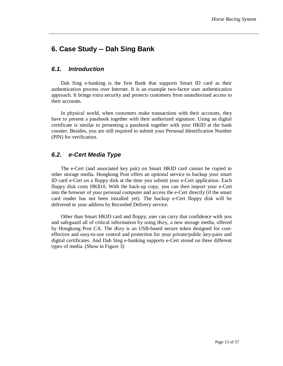### **6. Case Study -- Dah Sing Bank**

#### *6.1. Introduction*

Dah Sing e-banking is the first Bank that supports Smart ID card as their authentication process over Internet. It is an example two-factor user authentication approach. It brings extra security and protects customers from unauthorized access to their accounts.

In physical world, when customers make transactions with their accounts, they have to present a passbook together with their authorized signature. Using an digital certificate is similar to presenting a passbook together with your HKID at the bank counter. Besides, you are still required to submit your Personal Identification Number (PIN) for verification.

### *6.2. e-Cert Media Type*

The e-Cert (and associated key pair) on Smart HKID card cannot be copied to other storage media. Hongkong Post offers an optional service to backup your smart ID card e-Cert on a floppy disk at the time you submit your e-Cert application. Each floppy disk costs HK\$10. With the back-up copy, you can then import your e-Cert into the browser of your personal computer and access the e-Cert directly (if the smart card reader has not been installed yet). The backup e-Cert floppy disk will be delivered to your address by Recorded Delivery service.

Other than Smart HKID card and floppy, user can carry that confidence with you and safeguard all of critical information by using iKey, a new storage media, offered by Hongkong Post CA. The iKey is an USB-based secure token designed for costeffective and easy-to-use control and protection for your private/public key-pairs and digital certificates. And Dah Sing e-banking supports e-Cert stored on three different types of media. (Show in Figure 3)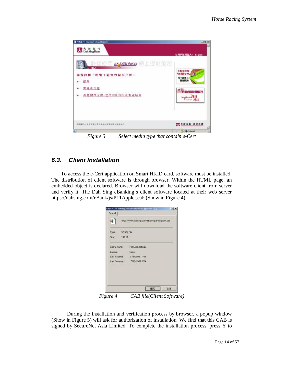

*Figure 3 Select media type that contain e-Cert* 

### *6.3. Client Installation*

To access the e-Cert application on Smart HKID card, software must be installed. The distribution of client software is through browser. Within the HTML page, an embedded object is declared. Browser will download the software client from server and verify it. The Dah Sing eBanking's client software located at their web server <https://dahsing.com/eBank/js/P11Applet.cab> (Show in Figure 4)

|               | http://www.dahsing.com/eBark/jc/P11Applet.cab |
|---------------|-----------------------------------------------|
| Type:         | WinZip Film                                   |
| Soc.<br>112KB |                                               |
| Cache name:   | P11Apple(1) cab                               |
| Expires:      | <b>None</b>                                   |
|               | Last Modified 21/8/2003 17:45                 |
|               | Last Accessed: 17/12/2003 0:59                |
|               |                                               |

*Figure 4 CAB file(Client Software)* 

During the installation and verification process by browser, a popup window (Show in Figure 5) will ask for authorization of installation. We find that this CAB is signed by SecureNet Asia Limited. To complete the installation process, press Y to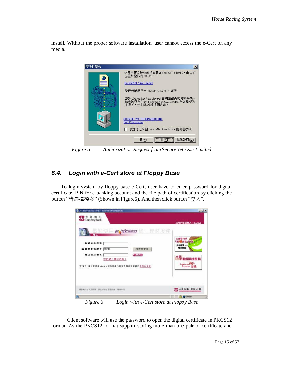install. Without the proper software installation, user cannot access the e-Cert on any media.



*Figure 5 Authorization Request from SecureNet Asia Limited* 

### *6.4. Login with e-Cert store at Floppy Base*

To login system by floppy base e-Cert, user have to enter password for digital certificate, PIN for e-banking account and the file path of certification by clicking the button "請選擇檔案" (Shown in Figure6). And then click button "登入".

| <b>CAS</b> Dah Sing Bank<br>数组使用 <i>e b@rking</i> 網上理財服務                                                                        | 以用户被销责入   English                                                           |
|---------------------------------------------------------------------------------------------------------------------------------|-----------------------------------------------------------------------------|
| 数等差音表<br>請索務數務策告<br>语消罪智笑<br><b>NUME</b><br>朝上理财管理<br>$\blacksquare$<br>8起網上理財密碼 7<br>按 "登入, 雜以便使用 whanking限動並表示因量及明白本領務之母則及保险。 | 大新信用地<br>(图 B 交换, 计算)<br>免于装置 nm<br>塑造療院<br>至戰<br>自動櫃員機服務<br>Ingeland Staff |
| 每春繁没上喜乱照顶上深实接面   服務国際   開路牛行                                                                                                    | 大新会議 現日之通                                                                   |

*Figure 6 Login with e-Cert store at Floppy Base* 

Client software will use the password to open the digital certificate in PKCS12 format. As the PKCS12 format support storing more than one pair of certificate and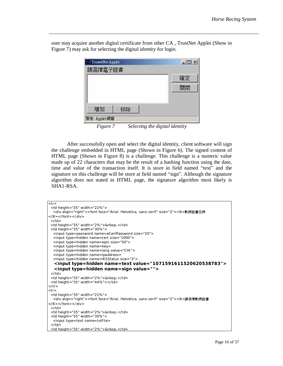

user may acquire another digital certificate from other CA , TrustNet Applet (Show in Figure 7) may ask for selecting the digital identity for login.

*Figure 7 Selecting the digital identity* 

After successfully open and select the digital identity, client software will sign the challenge embedded in HTML page (Shown in Figure 6). The signed content of HTML page (Shown in Figure 8) is a challenge. This challenge is a numeric value made up of 22 characters that may be the result of a hashing function using the date, time and value of the transaction itself. It is store in field named "text" and the signature on this challenge will be store at field named "sign". Although the signature algorithm does not stated in HTML page, the signature algorithm most likely is SHA1-RSA.

```
<tr><td height="35" width="22%"> 
   <div align="right"><font face="Arial, Helvetica, sans-serif" size="2"><B>數碼證書密碼
</B></font></div> 
 \langle t \, ds \rangle<td height="35" width="2%">&nbsp; </td>
 <td height="35" width="30%"> 
   <input type=password name=eCertPassword size="20"> 
   <input type=hidden name=cert size="1000"> 
   <input type=hidden name=epin size="50"> 
   <input type=hidden name=key> 
   <input type=hidden name=lang value="CHI"> 
   <input type=hidden name=ipaddress> 
   <input type=hidden name=lKSStatus size="3"> 
    <input type=hidden name=text value="1071591611520620538783"> 
    <input type=hidden name=sign value=""> 
 \langle t \, dt \rangle<td height="35" width="2%">&nbsp; </td>
 <td height="35" width="44%"></td> 
</tr> 
<tr><td height="35" width="22%"> 
   <div align="right"><font face="Arial, Helvetica, sans-serif" size="2"><B>請選擇數碼證書
</B></font></div> 
 </td><td height="35" width="2%">&nbsp; </td>
 <td height="35" width="30%">
   <input type=text name=txtFile> 
 </td><td height="35" width="2%">&nbsp; </td>
```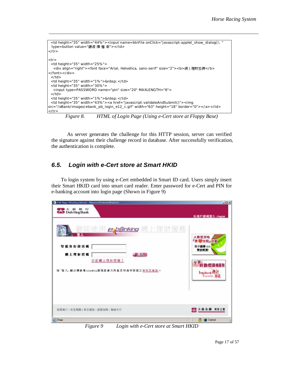```
<td height="35" width="44%"><input name=btnFile onClick="javascript:applet_show_dialog(); " 
 type=button value="請選 擇 檔 案"></td> 
\langle tr \rangle<tr><td height="35" width="25%"> 
  <div align="right"><font face="Arial, Helvetica, sans-serif" size="2"><b>網上理財密碼</b>
</font></div> 
 \langle t \, d \rangle<td height="35" width="1%">&nbsp; </td>
 <td height="35" width="30%"> 
   <input type=PASSWORD name="pin" size="20" MAXLENGTH="6"> 
 \langle t \, d \rangle<td height="35" width="1%">&nbsp; </td>
 <td height="35" width="43%"><a href="javascript:validateAndSubmit()"><img 
src="/eBank/images/ebank_pb_login_e12_c.gif" width="63" height="18" border="0"></a></td> 
\langle tr \rangle
```
*Figure 8. HTML of Login Page (Using e-Cert store at Floppy Base)* 

As server generates the challenge for this HTTP session, server can verified the signature against their challenge record in database. After successfully verification, the authentication is complete.

### *6.5. Login with e-Cert store at Smart HKID*

To login system by using e-Cert embedded in Smart ID card. Users simply insert their Smart HKID card into smart card reader. Enter password for e-Cert and PIN for e-banking account into login page (Shown in Figure 9)

| <sup>4</sup> Dah Sing e-Banking Service - Microsoft Internet Explorer | $ $ $ $ $\Box$ $\times$              |
|-----------------------------------------------------------------------|--------------------------------------|
| ■大新銀行<br><b>△</b> DahSingBank                                         | 以用户装码签入   English                    |
| 歡迎使用 experiking 網上理財服務                                                | 大新信用咕                                |
| 智能身份總密碼                                                               | 開發交税」指數                              |
| 網上理財密碼                                                                | 免手續費 #3                              |
| <b>START OF</b>                                                       | 雙倍獎賞                                 |
| 忘記網上理財密碼?                                                             | 全新 動櫃員機服務                            |
| 按「登入」 韓以優使用 e-banking 服務並表示同意及明自本服務之意別及能数 e                           | Interbank #17                        |
| 顾務施介   常見問題   保安措施   服務指南   雑絡本行<br><b>ET Done</b>                    | ■大新金融 理解之源<br>А<br><b>D</b> Internet |

*Figure 9 Login with e-Cert store at Smart HKID*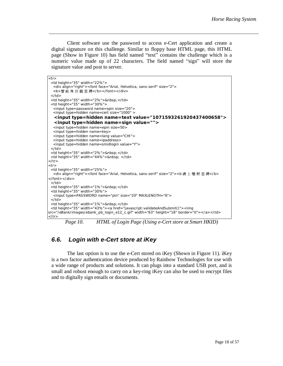Client software use the password to access e-Cert application and create a digital signature on this challenge. Similar to floppy base HTML page, this HTML page (Show in Figure 10) has field named "text" contains the challenge which is a numeric value made up of 22 characters. The field named "sign" will store the signature value and post to server.

```
<tr> 
 <td height="35" width="22%"> 
   <div align="right"><font face="Arial, Helvetica, sans-serif" size="2"> 
  <b>智能身份證密碼</b></font></div>
 </td><td height="35" width="2%">&nbsp; </td>
 <td height="35" width="30%">
   <input type=password name=spin size="20"> 
   <input type=hidden name=cert size="1000" > 
    <input type=hidden name=text value="1071593261920437400658"> 
    <input type=hidden name=sign value=""> 
   <input type=hidden name=epin size=50> 
   <input type=hidden name=key> 
   <input type=hidden name=lang value="CHI"> 
   <input type=hidden name=ipaddress> 
   <input type=hidden name=smidlogin value="Y"> 
 \langle t \, d \rangle<td height="35" width="2%"> </td>
 <td height="35" width="44%">&nbsp; </td>
</tr> 
<tr> 
 <td height="35" width="25%"> 
  <div align="right"><font face="Arial, Helvetica, sans-serif" size="2"><b 網 上 理 財 密 碼</b>
</font></div> 
 \langle t \, d \rangle<td height="35" width="1%">&nbsp; </td>
 <td height="35" width="30%"> 
   <input type=PASSWORD name="pin" size="20" MAXLENGTH="6"> 
 </td> 
 <td height="35" width="1%">&nbsp; </td>
 <td height="35" width="43%"><a href="javascript:validateAndSubmit()"><img 
src="/eBank/images/ebank_pb_login_e12_c.gif" width="63" height="18" border="0"></a></td> 
\langletr>
```
*Page 10. HTML of Login Page (Using e-Cert store at Smart HKID)* 

#### *6.6. Login with e-Cert store at iKey*

The last option is to use the e-Cert stored on iKey (Shown in Figure 11). iKey is a two factor authentication device produced by Rainbow Technologies for use with a wide range of products and solutions. It can plugs into a standard USB port, and is small and robust enough to carry on a key-ring iKey can also be used to encrypt files and to digitally sign emails or documents.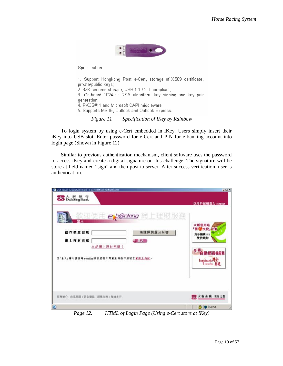

Specification:-

1. Support Hongkong Post e-Cert, storage of X.509 certificate, private/public keys;

2. 32K secured storage; USB 1.1 / 2.0 compliant;

3. On-board 1024-bit RSA algorithm, key signing and key pair generation:

4. PKCS#11 and Microsoft CAPI middleware

5. Supports MS IE, Outlook and Outlook Express.

*Figure 11 Specification of iKey by Rainbow* 

To login system by using e-Cert embedded in iKey. Users simply insert their iKey into USB slot. Enter password for e-Cert and PIN for e-banking account into login page (Shown in Figure 12)

Similar to previous authentication mechanism, client software uses the password to access iKey and create a digital signature on this challenge. The signature will be store at field named "sign" and then post to server. After success verification, user is authentication.

| <b>CaD</b> DahSingBank<br>欲迎使用 <i>expenking</i> 體上理財服務                                               | 以用户號碼签入   English                                                    |
|------------------------------------------------------------------------------------------------------|----------------------------------------------------------------------|
| 请還釋裝置及証書<br>儲存裝置密碼<br>劉上理財密碼<br>$\mathbf{1}$<br>忘記欄上理財密碼?<br>馆「登入」第以便使用ebasking 服务显击术同意互用自本服装之意航互临航。 | 大新信用站<br>『関 の交税』 計劃<br>免手續費 ※※<br>雙倍獎賞<br>全新 動榴員機服務<br>Interbank ### |
| 顾務施介   常見問題   保安措施   服務指南   聯絡本行                                                                     | 黒 大新金融 理財之理<br><b>3 D</b> Internet                                   |

*Page 12. HTML of Login Page (Using e-Cert store at iKey)*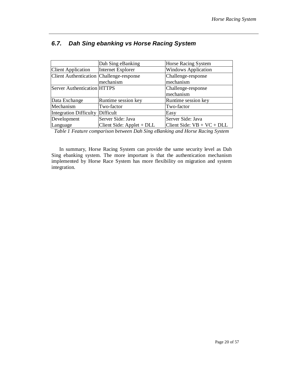|                                            | Dah Sing eBanking           | Horse Racing System          |
|--------------------------------------------|-----------------------------|------------------------------|
| <b>Client Application</b>                  | <b>Internet Explorer</b>    | <b>Windows Application</b>   |
| Client Authentication   Challenge-response |                             | Challenge-response           |
|                                            | mechanism                   | mechanism                    |
| <b>Server Authentication HTTPS</b>         |                             | Challenge-response           |
|                                            |                             | mechanism                    |
| Data Exchange                              | Runtime session key         | Runtime session key          |
| Mechanism                                  | Two-factor                  | Two-factor                   |
| Integration Difficulty Difficult           |                             | Easy                         |
| Development                                | Server Side: Java           | Server Side: Java            |
| Language                                   | Client Side: $Applet + DLL$ | Client Side: $VB + VC + DLL$ |

### *6.7. Dah Sing ebanking vs Horse Racing System*

*Table 1 Feature comparison between Dah Sing eBanking and Horse Racing System* 

In summary, Horse Racing System can provide the same security level as Dah Sing ebanking system. The more important is that the authentication mechanism implemented by Horse Race System has more flexibility on migration and system integration.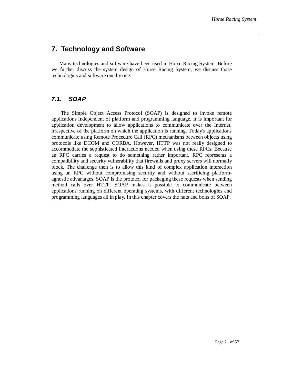### **7. Technology and Software**

Many technologies and software have been used in Horse Racing System. Before we further discuss the system design of Horse Racing System, we discuss those technologies and software one by one.

### *7.1. SOAP*

The Simple Object Access Protocol (SOAP) is designed to invoke remote applications independent of platform and programming language. It is important for application development to allow applications to communicate over the Internet, irrespective of the platform on which the application is running. Today's applications communicate using Remote Procedure Call (RPC) mechanisms between objects using protocols like DCOM and CORBA. However, HTTP was not really designed to accommodate the sophisticated interactions needed when using these RPCs. Because an RPC carries a request to do something rather important, RPC represents a compatibility and security vulnerability that firewalls and proxy servers will normally block. The challenge then is to allow this kind of complex application interaction using an RPC without compromising security and without sacrificing platformagnostic advantages. SOAP is the protocol for packaging these requests when sending method calls over HTTP. SOAP makes it possible to communicate between applications running on different operating systems, with different technologies and programming languages all in play. In this chapter covers the nuts and bolts of SOAP.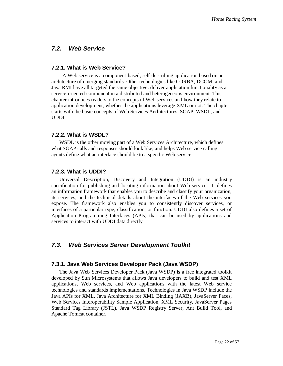#### *7.2. Web Service*

#### **7.2.1. What is Web Service?**

A Web service is a component-based, self-describing application based on an architecture of emerging standards. Other technologies like CORBA, DCOM, and Java RMI have all targeted the same objective: deliver application functionality as a service-oriented component in a distributed and heterogeneous environment. This chapter introduces readers to the concepts of Web services and how they relate to application development, whether the applications leverage XML or not. The chapter starts with the basic concepts of Web Services Architectures, SOAP, WSDL, and UDDI.

#### **7.2.2. What is WSDL?**

WSDL is the other moving part of a Web Services Architecture, which defines what SOAP calls and responses should look like, and helps Web service calling agents define what an interface should be to a specific Web service.

#### **7.2.3. What is UDDI?**

Universal Description, Discovery and Integration (UDDI) is an industry specification for publishing and locating information about Web services. It defines an information framework that enables you to describe and classify your organization, its services, and the technical details about the interfaces of the Web services you expose. The framework also enables you to consistently discover services, or interfaces of a particular type, classification, or function. UDDI also defines a set of Application Programming Interfaces (APIs) that can be used by applications and services to interact with UDDI data directly

#### *7.3. Web Services Server Development Toolkit*

#### **7.3.1. Java Web Services Developer Pack (Java WSDP)**

The Java Web Services Developer Pack (Java WSDP) is a free integrated toolkit developed by Sun Microsystems that allows Java developers to build and test XML applications, Web services, and Web applications with the latest Web service technologies and standards implementations. Technologies in Java WSDP include the Java APIs for XML, Java Architecture for XML Binding (JAXB), JavaServer Faces, Web Services Interoperability Sample Application, XML Security, JavaServer Pages Standard Tag Library (JSTL), Java WSDP Registry Server, Ant Build Tool, and Apache Tomcat container.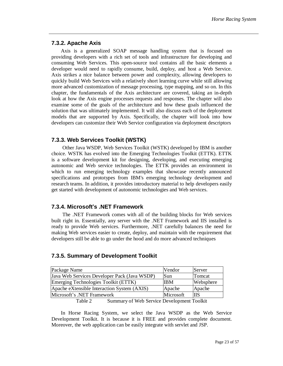#### **7.3.2. Apache Axis**

Axis is a generalized SOAP message handling system that is focused on providing developers with a rich set of tools and infrastructure for developing and consuming Web Services. This open-source tool contains all the basic elements a developer would need to rapidly consume, build, deploy, and host a Web Service. Axis strikes a nice balance between power and complexity, allowing developers to quickly build Web Services with a relatively short learning curve while still allowing more advanced customization of message processing, type mapping, and so on. In this chapter, the fundamentals of the Axis architecture are covered, taking an in-depth look at how the Axis engine processes requests and responses. The chapter will also examine some of the goals of the architecture and how these goals influenced the solution that was ultimately implemented. It will also discuss each of the deployment models that are supported by Axis. Specifically, the chapter will look into how developers can customize their Web Service configuration via deployment descriptors

#### **7.3.3. Web Services Toolkit (WSTK)**

Other Java WSDP, Web Services Toolkit (WSTK) developed by IBM is another choice. WSTK has evolved into the Emerging Technologies Toolkit (ETTK). ETTK is a software development kit for designing, developing, and executing emerging autonomic and Web service technologies. The ETTK provides an environment in which to run emerging technology examples that showcase recently announced specifications and prototypes from IBM's emerging technology development and research teams. In addition, it provides introductory material to help developers easily get started with development of autonomic technologies and Web services.

#### **7.3.4. Microsoft's .NET Framework**

The .NET Framework comes with all of the building blocks for Web services built right in. Essentially, any server with the .NET Framework and IIS installed is ready to provide Web services. Furthermore, .NET carefully balances the need for making Web services easier to create, deploy, and maintain with the requirement that developers still be able to go under the hood and do more advanced techniques

#### **7.3.5. Summary of Development Toolkit**

| Package Name                                 | Vendor     | Server    |
|----------------------------------------------|------------|-----------|
| Java Web Services Developer Pack (Java WSDP) | Sun        | Tomcat    |
| Emerging Technologies Toolkit (ETTK)         | <b>IBM</b> | Websphere |
| Apache eXtensible Interaction System (AXIS)  | Apache     | Apache    |
| Microsoft's .NET Framework                   | Microsoft  | ШS        |
| $T = 11.0$ $T = 0$ $T = 11.0$ $T = 11.0$     |            |           |

Table 2 Summary of Web Service Development Toolkit

In Horse Racing System, we select the Java WSDP as the Web Service Development Toolkit. It is because it is FREE and provides complete document. Moreover, the web application can be easily integrate with servlet and JSP.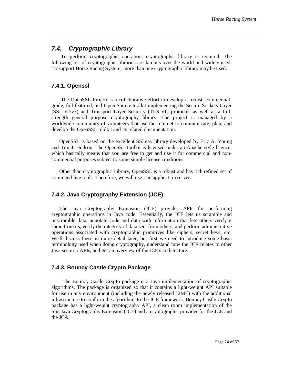#### *7.4. Cryptographic Library*

To perform cryptographic operation, cryptographic library is required. The following list of cryptographic libraries are famous over the world and widely used. To support Horse Racing System, more than one cryptographic library may be used.

#### **7.4.1. Openssl**

The OpenSSL Project is a collaborative effort to develop a robust, commercialgrade, full-featured, and Open Source toolkit implementing the Secure Sockets Layer (SSL v2/v3) and Transport Layer Security (TLS v1) protocols as well as a fullstrength general purpose cryptography library. The project is managed by a worldwide community of volunteers that use the Internet to communicate, plan, and develop the OpenSSL toolkit and its related documentation.

OpenSSL is based on the excellent SSLeay library developed by Eric A. Young and Tim J. Hudson. The OpenSSL toolkit is licensed under an Apache-style licence, which basically means that you are free to get and use it for commercial and noncommercial purposes subject to some simple license conditions.

Other than cryptographic Library, OpenSSL is a robust and has rich refined set of command line tools. Therefore, we will use it in application server.

#### **7.4.2. Java Cryptography Extension (JCE)**

The Java Cryptography Extension (JCE) provides APIs for performing cryptographic operations in Java code. Essentially, the JCE lets us scramble and unscramble data, annotate code and data with information that lets others verify it came from us, verify the integrity of data sent from others, and perform administrative operations associated with cryptographic primitives like ciphers, secret keys, etc. We'll discuss these in more detail later, but first we need to introduce some basic terminology used when doing cryptography, understand how the JCE relates to other Java security APIs, and get an overview of the JCE's architecture.

#### **7.4.3. Bouncy Castle Crypto Package**

The Bouncy Castle Crypto package is a Java implementation of cryptographic algorithms. The package is organized so that it contains a light-weight API suitable for use in any environment (including the newly released J2ME) with the additional infrastructure to conform the algorithms to the JCE framework. Bouncy Castle Crypto package has a light-weight cryptography API, a clean room implementation of the Sun Java Cryptography Extension (JCE) and a cryptographic provider for the JCE and the JCA.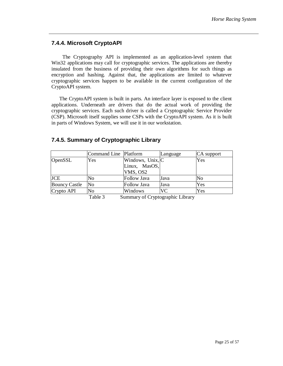#### **7.4.4. Microsoft CryptoAPI**

The Cryptography API is implemented as an application-level system that Win32 applications may call for cryptographic services. The applications are thereby insulated from the business of providing their own algorithms for such things as encryption and hashing. Against that, the applications are limited to whatever cryptographic services happen to be available in the current configuration of the CryptoAPI system.

The CryptoAPI system is built in parts. An interface layer is exposed to the client applications. Underneath are drivers that do the actual work of providing the cryptographic services. Each such driver is called a Cryptographic Service Provider (CSP). Microsoft itself supplies some CSPs with the CryptoAPI system. As it is built in parts of Windows System, we will use it in our workstation.

|                      | Command Line Platform |                  | Language | CA support |
|----------------------|-----------------------|------------------|----------|------------|
| <b>OpenSSL</b>       | Yes                   | Windows, Unix, C |          | Yes        |
|                      |                       | Linux, MasOS,    |          |            |
|                      |                       | VMS, OS2         |          |            |
| <b>JCE</b>           | No                    | Follow Java      | Java     | No         |
| <b>Bouncy Castle</b> | No                    | Follow Java      | Java     | Yes        |
| Crypto API           | No                    | Windows          | VC       | Yes        |

### **7.4.5. Summary of Cryptographic Library**

Table 3 Summary of Cryptographic Library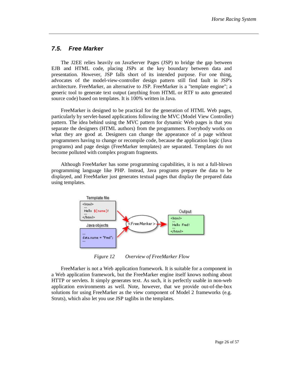#### *7.5. Free Marker*

The J2EE relies heavily on JavaServer Pages (JSP) to bridge the gap between EJB and HTML code, placing JSPs at the key boundary between data and presentation. However, JSP falls short of its intended purpose. For one thing, advocates of the model-view-controller design pattern still find fault in JSP's architecture. FreeMarker, an alternative to JSP. FreeMarker is a "template engine"; a generic tool to generate text output (anything from HTML or RTF to auto generated source code) based on templates. It is 100% written in Java.

FreeMarker is designed to be practical for the generation of HTML Web pages, particularly by servlet-based applications following the MVC (Model View Controller) pattern. The idea behind using the MVC pattern for dynamic Web pages is that you separate the designers (HTML authors) from the programmers. Everybody works on what they are good at. Designers can change the appearance of a page without programmers having to change or recompile code, because the application logic (Java programs) and page design (FreeMarker templates) are separated. Templates do not become polluted with complex program fragments.

Although FreeMarker has some programming capabilities, it is not a full-blown programming language like PHP. Instead, Java programs prepare the data to be displayed, and FreeMarker just generates textual pages that display the prepared data using templates.



*Figure 12 Overview of FreeMarker Flow* 

FreeMarker is not a Web application framework. It is suitable for a component in a Web application framework, but the FreeMarker engine itself knows nothing about HTTP or servlets. It simply generates text. As such, it is perfectly usable in non-web application environments as well. Note, however, that we provide out-of-the-box solutions for using FreeMarker as the view component of Model 2 frameworks (e.g. Struts), which also let you use JSP taglibs in the templates.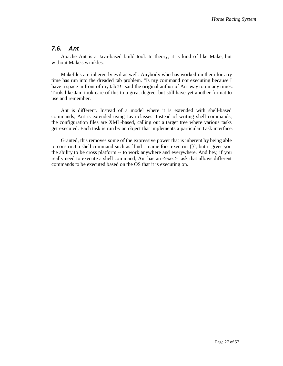#### *7.6. Ant*

Apache Ant is a Java-based build tool. In theory, it is kind of like Make, but without Make's wrinkles.

Makefiles are inherently evil as well. Anybody who has worked on them for any time has run into the dreaded tab problem. "Is my command not executing because I have a space in front of my tab!!!" said the original author of Ant way too many times. Tools like Jam took care of this to a great degree, but still have yet another format to use and remember.

Ant is different. Instead of a model where it is extended with shell-based commands, Ant is extended using Java classes. Instead of writing shell commands, the configuration files are XML-based, calling out a target tree where various tasks get executed. Each task is run by an object that implements a particular Task interface.

Granted, this removes some of the expressive power that is inherent by being able to construct a shell command such as `find . -name foo -exec rm {}`, but it gives you the ability to be cross platform -- to work anywhere and everywhere. And hey, if you really need to execute a shell command, Ant has an <exec> task that allows different commands to be executed based on the OS that it is executing on.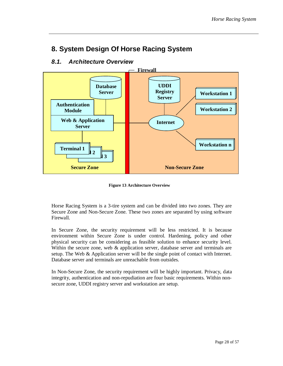## **8. System Design Of Horse Racing System**

### *8.1. Architecture Overview*



**Figure 13 Architecture Overview**

Horse Racing System is a 3-tire system and can be divided into two zones. They are Secure Zone and Non-Secure Zone. These two zones are separated by using software Firewall.

In Secure Zone, the security requirement will be less restricted. It is because environment within Secure Zone is under control. Hardening, policy and other physical security can be considering as feasible solution to enhance security level. Within the secure zone, web & application server, database server and terminals are setup. The Web & Application server will be the single point of contact with Internet. Database server and terminals are unreachable from outsides.

In Non-Secure Zone, the security requirement will be highly important. Privacy, data integrity, authentication and non-repudiation are four basic requirements. Within nonsecure zone, UDDI registry server and workstation are setup.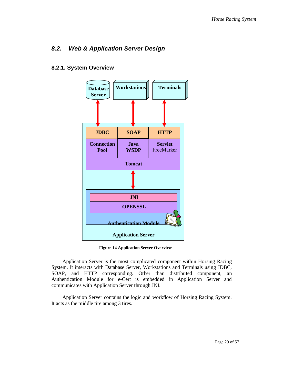### *8.2. Web & Application Server Design*

#### **8.2.1. System Overview**



**Figure 14 Application Server Overview**

Application Server is the most complicated component within Horsing Racing System. It interacts with Database Server, Workstations and Terminals using JDBC, SOAP, and HTTP corresponding. Other than distributed component, an Authentication Module for e-Cert is embedded in Application Server and communicates with Application Server through JNI.

Application Server contains the logic and workflow of Horsing Racing System. It acts as the middle tire among 3 tires.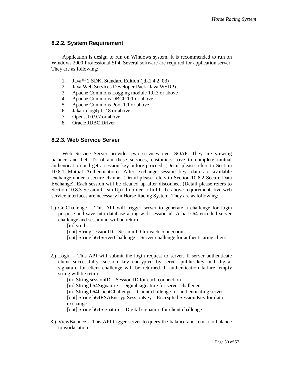#### **8.2.2. System Requirement**

Application is design to run on Windows system. It is recommended to run on Windows 2000 Professional SP4. Several software are required for application server. They are as following:

- 1. Java<sup>TM</sup> 2 SDK, Standard Edition (jdk1.4.2 $\_\$ 03)
- 2. Java Web Services Developer Pack (Java WSDP)
- 3. Apache Commons Logging module 1.0.3 or above
- 4. Apache Commons DBCP 1.1 or above
- 5. Apache Commons Pool 1.1 or above
- 6. Jakarta log4j 1.2.8 or above
- 7. Openssl 0.9.7 or above
- 8. Oracle JDBC Driver

#### **8.2.3. Web Service Server**

Web Service Server provides two services over SOAP. They are viewing balance and bet. To obtain these services, customers have to complete mutual authentication and get a session key before proceed. (Detail please refers to Section 10.8.1 Mutual Authentication). After exchange session key, data are available exchange under a secure channel (Detail please refers to Section 10.8.2 Secure Data Exchange). Each session will be cleaned up after disconnect (Detail please refers to Section 10.8.3 Session Clean Up). In order to fulfill the above requirement, five web service interfaces are necessary in Horse Racing System. They are as following:

1.) GetChallenge – This API will trigger server to generate a challenge for login purpose and save into database along with session id. A base 64 encoded server challenge and session id will be return.

[in] void

[out] String sessionID – Session ID for each connection

- [out] String b64ServerChallenge Server challenge for authenticating client
- 2.) Login This API will submit the login request to server. If server authenticate client successfully, session key encrypted by server public key and digital signature for client challenge will be returned. If authentication failure, empty string will be return.

[in] String sessionID – Session ID for each connection [in] String b64Signature – Digital signature for server challenge [in] String b64ClientChallenge – Client challenge for authenticating server [out] String b64RSAEncryptSessionKey – Encrypted Session Key for data exchange [out] String b64Signature – Digital signature for client challenge

3.) ViewBalance – This API trigger server to query the balance and return to balance to workstation.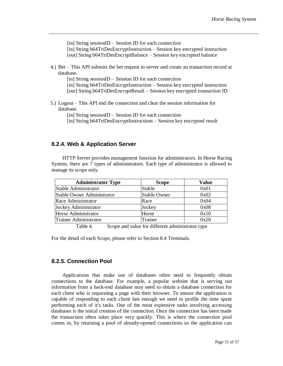[in] String sessionID – Session ID for each connection [in] String b64TriDesEncryptInstruction – Session key encrypted instruction [out] String b64TriDesEncryptBalance – Session key encrypted balance

4.) Bet – This API submits the bet request to server and create an transaction record at database.

[in] String sessionID – Session ID for each connection [in] String b64TriDesEncryptInstruction – Session key encrypted instruction [out] String b64TriDesEncryptResult – Session key encrypted transaction ID

5.) Logout – This API end the connection and clear the session information for database.

[in] String sessionID – Session ID for each connection

[in] String b64TriDesEncryptInstructiont – Session key encrypted result

#### **8.2.4. Web & Application Server**

HTTP Server provides management function for administrators. In Horse Racing System, there are 7 types of administrators. Each type of administrator is allowed to manage its scope only.

| <b>Administrator Type</b>         | <b>Scope</b>        | <b>Value</b> |
|-----------------------------------|---------------------|--------------|
| Stable Administrator              | Stable              | 0x01         |
| <b>Stable Owner Administrator</b> | <b>Stable Owner</b> | 0x02         |
| Race Administrator                | Race                | 0x04         |
| Jockey Administrator              | Jockey              | 0x08         |
| Horse Administrator               | Horse               | 0x10         |
| Trainer Administrator             | Trainer             | 0x20         |

Table 4. Scope and value for different administrator type

For the detail of each Scope, please refer to Section 8.4 Terminals.

#### **8.2.5. Connection Pool**

Applications that make use of databases often need to frequently obtain connections to the database. For example, a popular website that is serving out information from a back-end database may need to obtain a database connection for each client who is requesting a page with their browser. To ensure the application is capable of responding to each client fast enough we need to profile the time spent performing each of it's tasks. One of the most expensive tasks involving accessing databases is the initial creation of the connection. Once the connection has been made the transaction often takes place very quickly. This is where the connection pool comes in, by retaining a pool of already-opened connections so the application can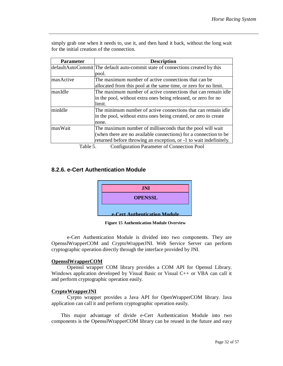| <b>Parameter</b> | <b>Description</b>                                                             |  |  |
|------------------|--------------------------------------------------------------------------------|--|--|
|                  | defaultAutoCommit The default auto-commit state of connections created by this |  |  |
|                  | pool.                                                                          |  |  |
| maxActive        | The maximum number of active connections that can be.                          |  |  |
|                  | allocated from this pool at the same time, or zero for no limit.               |  |  |
| lmaxIdle         | The maximum number of active connections that can remain idle                  |  |  |
|                  | in the pool, without extra ones being released, or zero for no                 |  |  |
|                  | limit.                                                                         |  |  |
| minIdle          | The minimum number of active connections that can remain idle                  |  |  |
|                  | in the pool, without extra ones being created, or zero to create               |  |  |
|                  | none.                                                                          |  |  |
| maxWait          | The maximum number of milliseconds that the pool will wait                     |  |  |
|                  | (when there are no available connections) for a connection to be               |  |  |
|                  | returned before throwing an exception, or -1 to wait indefinitely.             |  |  |

simply grab one when it needs to, use it, and then hand it back, without the long wait for the initial creation of the connection.

Table 5. Configuration Parameter of Connection Pool

#### **8.2.6. e-Cert Authentication Module**



**Figure 15 Authentication Module Overview** 

e-Cert Authentication Module is divided into two components. They are OpensslWrapperCOM and CryptoWrapperJNI. Web Service Server can perform cryptographic operation directly through the interface provided by JNI.

#### **OpensslWrapperCOM**

Openssl wrapper COM library provides a COM API for Openssl Library. Windows application developed by Visual Basic or Visual C++ or VBA can call it and perform cryptographic operation easily.

#### **CryptoWrapperJNI**

Cyrpto wrapper provides a Java API for OpenWrapperCOM library. Java application can call it and perform cryptographic operation easily.

This major advantage of divide e-Cert Authentication Module into two components is the OpensslWrapperCOM library can be reused in the future and easy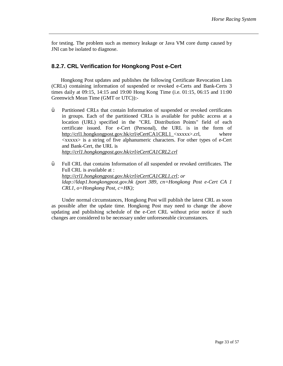for testing. The problem such as memory leakage or Java VM core dump caused by JNI can be isolated to diagnose.

#### **8.2.7. CRL Verification for Hongkong Post e-Cert**

Hongkong Post updates and publishes the following Certificate Revocation Lists (CRLs) containing information of suspended or revoked e-Certs and Bank-Certs 3 times daily at 09:15, 14:15 and 19:00 Hong Kong Time (i.e. 01:15, 06:15 and 11:00 Greenwich Mean Time (GMT or UTC)):-

- Ÿ Partitioned CRLs that contain Information of suspended or revoked certificates in groups. Each of the partitioned CRLs is available for public access at a location (URL) specified in the "CRL Distribution Points" field of each certificate issued. For e-Cert (Personal), the URL is in the form of [http://crl1.hongkongpost.gov.hk/crl/eCertCA1CRL1\\_](http://crl1.hongkongpost.gov.hk/crl/eCertCA1CRL1_)<xxxxx>.crl, where  $\langle$ xxxxx $\rangle$  is a string of five alphanumeric characters. For other types of e-Cert and Bank-Cert, the URL is *<http://crl1.hongkongpost.gov.hk/crl/eCertCA1CRL2.crl>*
- $\ddot{Y}$  Full CRL that contains Information of all suspended or revoked certificates. The Full CRL is available at : *<http://crl1.hongkongpost.gov.hk/crl/eCertCA1CRL1.crl>; or ldap://ldap1.hongkongpost.gov.hk (port 389, cn=Hongkong Post e-Cert CA 1 CRL1, o=Hongkong Post, c=HK);*

Under normal circumstances, Hongkong Post will publish the latest CRL as soon as possible after the update time. Hongkong Post may need to change the above updating and publishing schedule of the e-Cert CRL without prior notice if such changes are considered to be necessary under unforeseeable circumstances.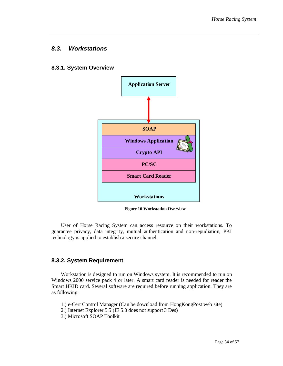#### *8.3. Workstations*

#### **8.3.1. System Overview**



**Figure 16 Workstation Overview** 

User of Horse Racing System can access resource on their workstations. To guarantee privacy, data integrity, mutual authentication and non-repudiation, PKI technology is applied to establish a secure channel.

#### **8.3.2. System Requirement**

Workstation is designed to run on Windows system. It is recommended to run on Windows 2000 service pack 4 or later. A smart card reader is needed for reader the Smart HKID card. Several software are required before running application. They are as following:

- 1.) e-Cert Control Manager (Can be download from HongKongPost web site)
- 2.) Internet Explorer 5.5 (IE 5.0 does not support 3 Des)
- 3.) Microsoft SOAP Toolkit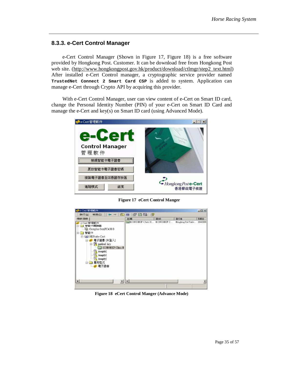#### **8.3.3. e-Cert Control Manager**

e-Cert Control Manager (Shown in Figure 17, Figure 18) is a free software provided by Hongkong Post. Customer. It can be download free from Hongkong Post web site. ([http://www.hongkongpost.gov.hk/product/download/ctlmgr/step2\\_text.html\)](http://www.hongkongpost.gov.hk/product/download/ctlmgr/step2_text.html) After installed e-Cert Control manager, a cryptographic service provider named **TrustedNet Connect 2 Smart Card CSP** is added to system. Application can manage e-Cert through Crypto API by acquiring this provider.

With e-Cert Control Manager, user can view content of e-Cert on Smart ID card, change the Personal Identity Number (PIN) of your e-Cert on Smart ID Card and manage the e-Cert and key(s) on Smart ID card (using Advanced Mode).



**Figure 17 eCert Control Manger** 

| (理状 口條                                                                                                                                                                                                              | 名解                       | 2295      | 發行者                  | 到期日       |
|---------------------------------------------------------------------------------------------------------------------------------------------------------------------------------------------------------------------|--------------------------|-----------|----------------------|-----------|
| e-Cest 管理航件<br><b>智能卡開讀器</b><br>曰<br>Gemplus GemPC430.0<br>智能卡<br>阳<br><b>MAJ HKFost e-Cert</b><br>電子國書 (未受入)<br>E- <sup>98</sup> perhoad key<br>E KONGHEF Chau H<br>(empty)<br>(equality)<br>empty)<br>用程式<br>電子読書 | <b>EL KONGHEP Chau H</b> | KONGHKP C | Houghoug Post Trisle | 26/4/2006 |
| x <br>٤l                                                                                                                                                                                                            |                          |           |                      | Ł         |

**Figure 18 eCert Control Manger (Advance Mode)**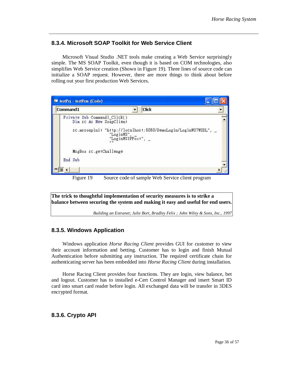#### **8.3.4. Microsoft SOAP Toolkit for Web Service Client**

Microsoft Visual Studio .NET tools make creating a Web Service surprisingly simple. The MS SOAP Toolkit, even though it is based on COM technologies, also simplifies Web Service creation (Shown in Figure 19). Three lines of source code can initialize a SOAP request. However, there are more things to think about before rolling out your first production Web Services.



Figure 19 Source code of sample Web Service client program

**The trick to thoughtful implementation of security measures is to strike a balance between securing the system and making it easy and useful for end users.** *Building an Extranet; Julie Bort, Bradley Felix ; John Wiley & Sons, Inc., 1997*

#### **8.3.5. Windows Application**

Windows application *Horse Racing Client* provides GUI for customer to view their account information and betting. Customer has to login and finish Mutual Authentication before submitting any instruction. The required certificate chain for authenticating server has been embedded into *Horse Racing Client* during installation.

Horse Racing Client provides four functions. They are login, view balance, bet and logout. Customer has to installed e-Cert Control Manager and insert Smart ID card into smart card reader before login. All exchanged data will be transfer in 3DES encrypted format.

#### **8.3.6. Crypto API**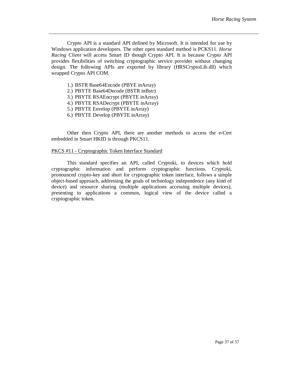Crypto API is a standard API defined by Microsoft. It is intended for use by Windows application developers. The other open standard method is PCKS11. *Horse Racing Client* will access Smart ID though Crypto API. It is because Crypto API provides flexibilities of switching cryptographic service provider without changing design. The following APIs are exported by library (HRSCryptoLib.dll) which wrapped Crypto API COM.

- 1.) BSTR Base64Encode (PBYE inArray)
- 2.) PBYTE Base64Decode (BSTR inBstr)
- 3.) PBYTE RSAEncrypt (PBYTE inArray)
- 4.) PBYTE RSADecrypt (PBYTE inArray)
- 5.) PBYTE Envelop (PBYTE inArray)
- 6.) PBYTE Develop (PBYTE inArray)

Other then Crypto API, there are another methods to access the e-Cert embedded in Smart HKID is through PKCS11.

#### PKCS #11 - Cryptographic Token Interface Standard

This standard specifies an API, called Cryptoki, to devices which hold cryptographic information and perform cryptographic functions. Cryptoki, pronounced crypto-key and short for cryptographic token interface, follows a simple object-based approach, addressing the goals of technology independence (any kind of device) and resource sharing (multiple applications accessing multiple devices), presenting to applications a common, logical view of the device called a cryptographic token.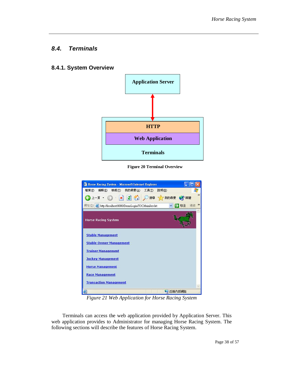#### *8.4. Terminals*

#### **8.4.1. System Overview**



**Figure 20 Terminal Overview** 



*Figure 21 Web Application for Horse Racing System* 

Terminals can access the web application provided by Application Server. This web application provides to Administrator for managing Horse Racing System. The following sections will describe the features of Horse Racing System.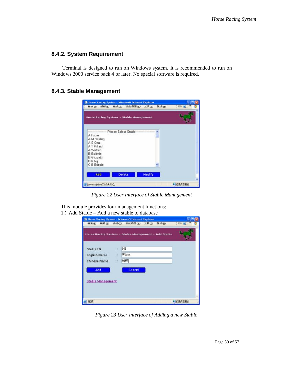#### **8.4.2. System Requirement**

Terminal is designed to run on Windows system. It is recommended to run on Windows 2000 service pack 4 or later. No special software is required.

#### **8.4.3. Stable Management**



*Figure 22 User Interface of Stable Management* 

This module provides four management functions: 1.) Add Stable – Add a new stable to database

|                          |    | Herse Racing System > Stable Management > Add Stable |  |
|--------------------------|----|------------------------------------------------------|--|
| <b>Stable ID</b>         | ÷  | 100                                                  |  |
| <b>English Name</b>      | 注  | Wilson                                               |  |
| Chinese Name             | ÷. | 威刑                                                   |  |
| Add                      |    | Concel                                               |  |
| <b>Stable Management</b> |    |                                                      |  |

*Figure 23 User Interface of Adding a new Stable*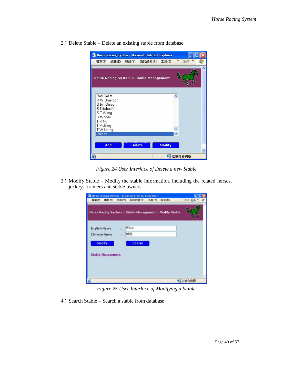

2.) Delete Stable – Delete an existing stable from database

*Figure 24 User Interface of Delete a new Stable* 

3.) Modify Stable – Modify the stable information. Including the related horses, jockeys, trainers and stable owners.

| Horse Racing System - Microsoft Internet Explorer       |                         | <b>箱案(E) 編輯(E) 檢視(Y) 我的商業(A) 工具(I)</b> | 脱明田 | $h$ $L$ $\infty$ |
|---------------------------------------------------------|-------------------------|----------------------------------------|-----|------------------|
| Horse Racing System > Stable Management > Modify Stable |                         |                                        |     |                  |
| <b>English Name</b>                                     | Wilson<br>$\mathcal{A}$ |                                        |     |                  |
| <b>Chinese Name</b><br>Modify                           | 威迅<br>$\mathcal{C}$     | Cancel                                 |     |                  |
| <b>Stable Management</b>                                |                         |                                        |     |                  |
|                                                         |                         |                                        |     |                  |
|                                                         |                         |                                        |     | 4 近端内部编          |

*Figure 25 User Interface of Modifying a Stable* 

4.) Search Stable – Search a stable from database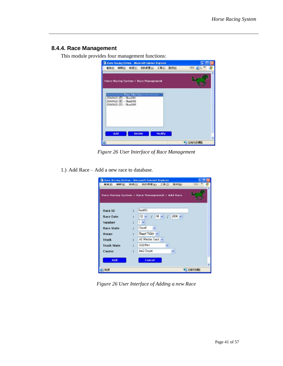#### **8.4.4. Race Management**

This module provides four management functions:



*Figure 26 User Interface of Race Management* 

1.) Add Race – Add a new race to database.

|                    |                | Race Racing System > Race Management > Add Race |
|--------------------|----------------|-------------------------------------------------|
| Race ID            | $\ddot{\cdot}$ | Race001                                         |
| Race Date          | ś              | $02 - 1$ 04 $- 1$ 2004 $-$                      |
| Number             | ÷              | $1 - 4$                                         |
| <b>Race State</b>  | ΧĖ.            | Cancel                                          |
| Venue              | ×.             | Happy Valley                                    |
| Track              | ä              | All Weather Track                               |
| <b>Track State</b> | G.             | (All) Fast                                      |
| Course             | $\bar{z}$      | A+2 Course                                      |
|                    |                |                                                 |
| Add                |                | <b>Cancel</b>                                   |

*Figure 26 User Interface of Adding a new Race*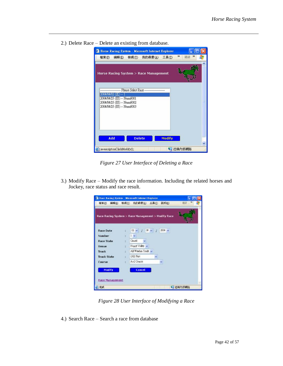- <sup>2</sup> Horse Racing System Microsoft Internet Explorer In 檔案(F) 編輯(E) 檢視(Y) 我的最愛(A) 工具(T) > 連結 » Horse Racing System > Race Management  $2004.04.02 \, (\pm) - 1$  $\begin{array}{l} 2004.04/25 \; (\boxbox{${\Xi}$}) - \text{Num6001} \\ 2004.04/25 \; (\boxbox{${\Xi}$}) - \text{Num6002} \\ 2004.04/25 \; (\boxbox{${\Xi}$}) - \text{Num6003} \end{array}$ **Modify** Add **Delete** javascriptonClickModify(); 「近端内部網路
- 2.) Delete Race Delete an existing from database.

*Figure 27 User Interface of Deleting a Race* 

3.) Modify Race – Modify the race information. Including the related horses and Jockey, race status and race result.

|                           | Race Racing System - Microsoft Internet Explorer   |  |
|---------------------------|----------------------------------------------------|--|
|                           | 著案(E) 議報(E) 檢視(I) 我的最爱(A) 工具(I) 說明(H)              |  |
|                           | Race Racing System > Race Management > Modify Race |  |
| <b>Race Date</b>          | $2004 -$<br>$02 -$<br>$04 -$                       |  |
| Number:                   | $1 -$<br>ċ.                                        |  |
| Race State                | <b>Cancel</b><br>÷.                                |  |
| Venue                     | Happy Valley<br>÷                                  |  |
| Track                     | All Westher Track<br>ž.                            |  |
| <b>Track State</b>        | (AII) Fast<br>đν.                                  |  |
| Course                    | A+2 Coude                                          |  |
| Madify<br>Race Management | Cancel                                             |  |
| 自克威                       | 数据内部调谐                                             |  |

*Figure 28 User Interface of Modifying a Race* 

4.) Search Race – Search a race from database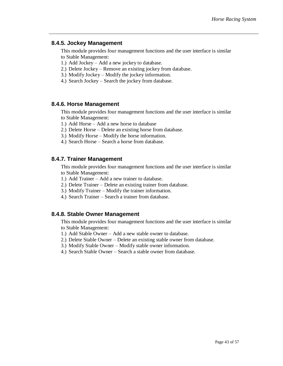#### **8.4.5. Jockey Management**

This module provides four management functions and the user interface is similar to Stable Management:

- 1.) Add Jockey Add a new jockey to database.
- 2.) Delete Jockey Remove an existing jockey from database.
- 3.) Modify Jockey Modify the jockey information.
- 4.) Search Jockey Search the jockey from database.

#### **8.4.6. Horse Management**

This module provides four management functions and the user interface is similar to Stable Management:

- 1.) Add Horse Add a new horse to database
- 2.) Delete Horse Delete an existing horse from database.
- 3.) Modify Horse Modify the horse information.
- 4.) Search Horse Search a horse from database.

#### **8.4.7. Trainer Management**

This module provides four management functions and the user interface is similar to Stable Management:

- 1.) Add Trainer Add a new trainer to database.
- 2.) Delete Trainer Delete an existing trainer from database.
- 3.) Modify Trainer Modify the trainer information.
- 4.) Search Trainer Search a trainer from database.

#### **8.4.8. Stable Owner Management**

This module provides four management functions and the user interface is similar to Stable Management:

- 1.) Add Stable Owner Add a new stable owner to database.
- 2.) Delete Stable Owner Delete an existing stable owner from database.
- 3.) Modify Stable Owner Modify stable owner information.
- 4.) Search Stable Owner Search a stable owner from database.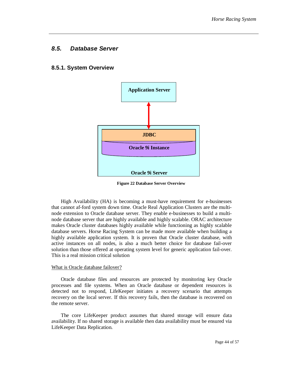#### *8.5. Database Server*

#### **8.5.1. System Overview**



**Figure 22 Database Server Overview**

High Availability (HA) is becoming a must-have requirement for e-businesses that cannot af-ford system down time. Oracle Real Application Clusters are the multinode extension to Oracle database server. They enable e-businesses to build a multinode database server that are highly available and highly scalable. ORAC architecture makes Oracle cluster databases highly available while functioning as highly scalable database servers. Horse Racing System can be made more available when building a highly available application system. It is proven that Oracle cluster database, with active instances on all nodes, is also a much better choice for database fail-over solution than those offered at operating system level for generic application fail-over. This is a real mission critical solution

#### What is Oracle database failover?

Oracle database files and resources are protected by monitoring key Oracle processes and file systems. When an Oracle database or dependent resources is detected not to respond, LifeKeeper initiates a recovery scenario that attempts recovery on the local server. If this recovery fails, then the database is recovered on the remote server.

The core LifeKeeper product assumes that shared storage will ensure data availability. If no shared storage is available then data availability must be ensured via LifeKeeper Data Replication.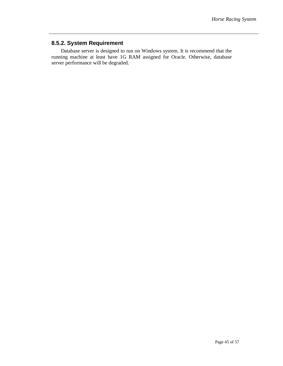#### **8.5.2. System Requirement**

Database server is designed to run on Windows system. It is recommend that the running machine at least have 1G RAM assigned for Oracle. Otherwise, database server performance will be degraded.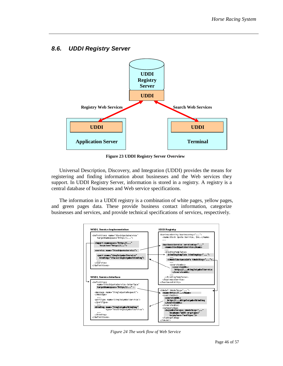

### *8.6. UDDI Registry Server*

**Figure 23 UDDI Registry Server Overview**

Universal Description, Discovery, and Integration (UDDI) provides the means for registering and finding information about businesses and the Web services they support. In UDDI Registry Server, information is stored in a registry. A registry is a central database of businesses and Web service specifications.

The information in a UDDI registry is a combination of white pages, yellow pages, and green pages data. These provide business contact information, categorize businesses and services, and provide technical specifications of services, respectively.



*Figure 24 The work flow of Web Service*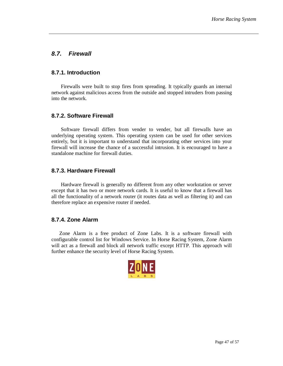### *8.7. Firewall*

#### **8.7.1. Introduction**

Firewalls were built to stop fires from spreading. It typically guards an internal network against malicious access from the outside and stopped intruders from passing into the network.

#### **8.7.2. Software Firewall**

Software firewall differs from vender to vender, but all firewalls have an underlying operating system. This operating system can be used for other services entirely, but it is important to understand that incorporating other services into your firewall will increase the chance of a successful intrusion. It is encouraged to have a standalone machine for firewall duties.

#### **8.7.3. Hardware Firewall**

Hardware firewall is generally no different from any other workstation or server except that it has two or more network cards. It is useful to know that a firewall has all the functionality of a network router (it routes data as well as filtering it) and can therefore replace an expensive router if needed.

#### **8.7.4. Zone Alarm**

Zone Alarm is a free product of Zone Labs. It is a software firewall with configurable control list for Windows Service. In Horse Racing System, Zone Alarm will act as a firewall and block all network traffic except HTTP. This approach will further enhance the security level of Horse Racing System.

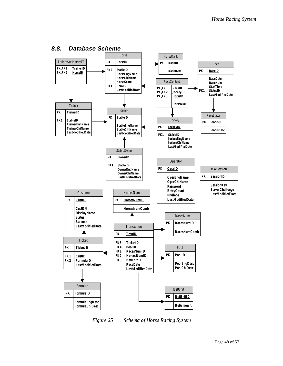

#### *8.8. Database Scheme*

*Figure 25 Schema of Horse Racing System*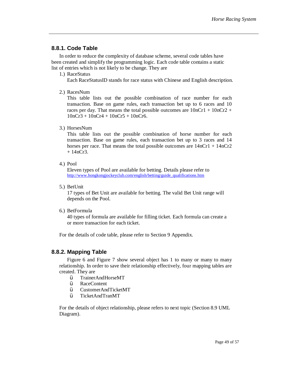#### **8.8.1. Code Table**

In order to reduce the complexity of database scheme, several code tables have been created and simplify the programming logic. Each code table contains a static list of entries which is not likely to be change. They are

1.) RaceStatus

Each RaceStatusID stands for race status with Chinese and English description.

2.) RacesNum

This table lists out the possible combination of race number for each transaction. Base on game rules, each transaction bet up to 6 races and 10 races per day. That means the total possible outcomes are  $10nCr1 + 10nCr2 +$  $10nCr3 + 10nCr4 + 10nCr5 + 10nCr6$ .

3.) HorsesNum

This table lists out the possible combination of horse number for each transaction. Base on game rules, each transaction bet up to 3 races and 14 horses per race. That means the total possible outcomes are  $14nCr1 + 14nCr2$  $+ 14nCr3.$ 

4.) Pool

Eleven types of Pool are available for betting. Details please refer to [http://www.hongkongjockeyclub.com/english/betting/guide\\_qualifications.htm](http://www.hongkongjockeyclub.com/english/betting/guide_qualifications.htm)

5.) BetUnit

17 types of Bet Unit are available for betting. The valid Bet Unit range will depends on the Pool.

6.) BetFormula

40 types of formula are available for filling ticket. Each formula can create a or more transaction for each ticket.

For the details of code table, please refer to Section 9 Appendix.

#### **8.8.2. Mapping Table**

Figure 6 and Figure 7 show several object has 1 to many or many to many relationship. In order to save their relationship effectively, four mapping tables are created. They are

- Ÿ TrainerAndHorseMT
- Ÿ RaceContent
- Ÿ CustomerAndTicketMT
- Ÿ TicketAndTranMT

For the details of object relationship, please refers to next topic (Section 8.9 UML Diagram).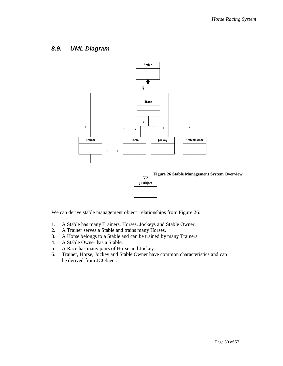### *8.9. UML Diagram*



We can derive stable management object relationships from Figure 26:

- 1. A Stable has many Trainers, Horses, Jockeys and Stable Owner.
- 2. A Trainer serves a Stable and trains many Horses.
- 3. A Horse belongs to a Stable and can be trained by many Trainers.
- 4. A Stable Owner has a Stable.
- 5. A Race has many pairs of Horse and Jockey.
- 6. Trainer, Horse, Jockey and Stable Owner have common characteristics and can be derived from JCObject.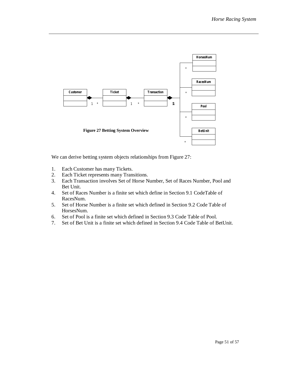

We can derive betting system objects relationships from Figure 27:

- 1. Each Customer has many Tickets.
- 2. Each Ticket represents many Transitions.
- 3. Each Transaction involves Set of Horse Number, Set of Races Number, Pool and Bet Unit.
- 4. Set of Races Number is a finite set which define in Section 9.1 CodeTable of RacesNum.
- 5. Set of Horse Number is a finite set which defined in Section 9.2 Code Table of HorsesNum.
- 6. Set of Pool is a finite set which defined in Section 9.3 Code Table of Pool.
- 7. Set of Bet Unit is a finite set which defined in Section 9.4 Code Table of BetUnit.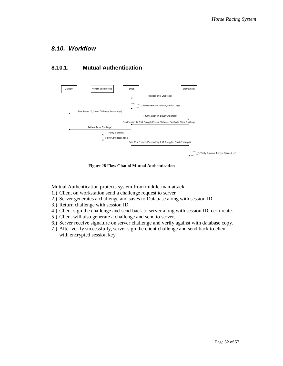#### *8.10. Workflow*

#### **8.10.1. Mutual Authentication**



**Figure 28 Flow Chat of Mutual Authentication** 

Mutual Authentication protects system from middle-man-attack.

- 1.) Client on workstation send a challenge request to server
- 2.) Server generates a challenge and saves to Database along with session ID.
- 3.) Return challenge with session ID.
- 4.) Client sign the challenge and send back to server along with session ID, certificate.
- 5.) Client will also generate a challenge and send to server.
- 6.) Server receive signature on server challenge and verify against with database copy.
- 7.) After verify successfully, server sign the client challenge and send back to client with encrypted session key.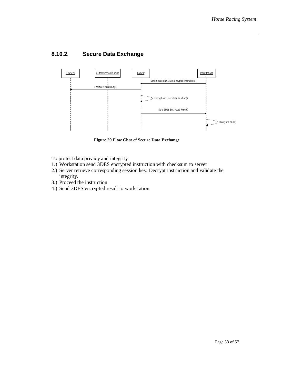### **8.10.2. Secure Data Exchange**



**Figure 29 Flow Chat of Secure Data Exchange** 

To protect data privacy and integrity

- 1.) Workstation send 3DES encrypted instruction with checksum to server
- 2.) Server retrieve corresponding session key. Decrypt instruction and validate the integrity.
- 3.) Proceed the instruction
- 4.) Send 3DES encrypted result to workstation.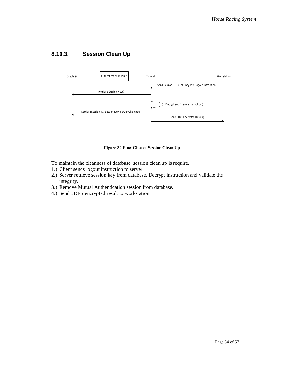### **8.10.3. Session Clean Up**



**Figure 30 Flow Chat of Session Clean Up** 

- To maintain the cleanness of database, session clean up is require.
- 1.) Client sends logout instruction to server.
- 2.) Server retrieve session key from database. Decrypt instruction and validate the integrity.
- 3.) Remove Mutual Authentication session from database.
- 4.) Send 3DES encrypted result to workstation.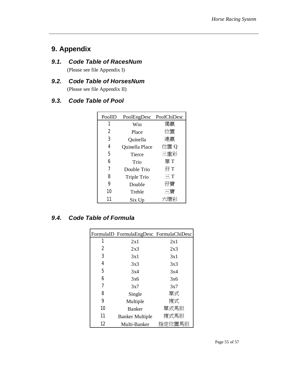## **9. Appendix**

### *9.1. Code Table of RacesNum*

(Please see file Appendix I)

# *9.2. Code Table of HorsesNum*

(Please see file Appendix II)

### *9.3. Code Table of Pool*

| PoolID | PoolEngDesc    | PoolChiDesc |
|--------|----------------|-------------|
| 1      | Win            | 獨嬴          |
| 2      | Place          | 位置          |
| 3      | Quinella       | 連嬴          |
| 4      | Quinella Place | 位置Q         |
| 5      | <b>Tierce</b>  | 三重彩         |
| 6      | Trio           | 單T          |
| 7      | Double Trio    | 孖 T         |
| 8      | Triple Trio    | $\Xi$ T     |
| 9      | Double         | 孖寶          |
| 10     | Treble         | 三寶          |
| 11     | Six Up         |             |

### *9.4. Code Table of Formula*

|    | FormulaID FormulaEngDesc FormulaChiDesc |        |
|----|-----------------------------------------|--------|
| 1  | 2x1                                     | 2x1    |
| 2  | 2x3                                     | 2x3    |
| 3  | 3x1                                     | 3x1    |
| 4  | 3x3                                     | 3x3    |
| 5  | 3x4                                     | 3x4    |
| 6  | 3x6                                     | 3x6    |
| 7  | 3x7                                     | 3x7    |
| 8  | Single                                  | 單式     |
| 9  | Multiple                                | 複式     |
| 10 | <b>Banker</b>                           | 單式馬胆   |
| 11 | <b>Banker Multiple</b>                  | 複式馬胆   |
| 12 | Multi-Banker                            | 指定位置馬胆 |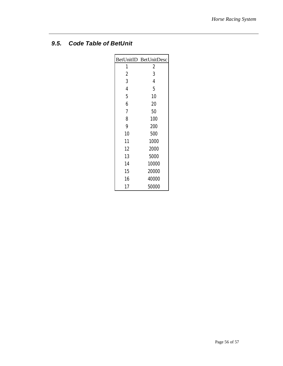### *9.5. Code Table of BetUnit*

|                | BetUnitID BetUnitDesc |
|----------------|-----------------------|
| 1              | $\overline{c}$        |
| $\overline{c}$ | 3                     |
| 3              | $\overline{4}$        |
| 4              | 5                     |
| 5              | 10                    |
| 6              | $20\,$                |
| 7              | 50                    |
| 8              | 100                   |
| 9              | 200                   |
| 10             | 500                   |
| 11             | 1000                  |
| 12             | 2000                  |
| 13             | 5000                  |
| 14             | 10000                 |
| 15             | 20000                 |
| 16             | 40000                 |
| 17             | 50000                 |